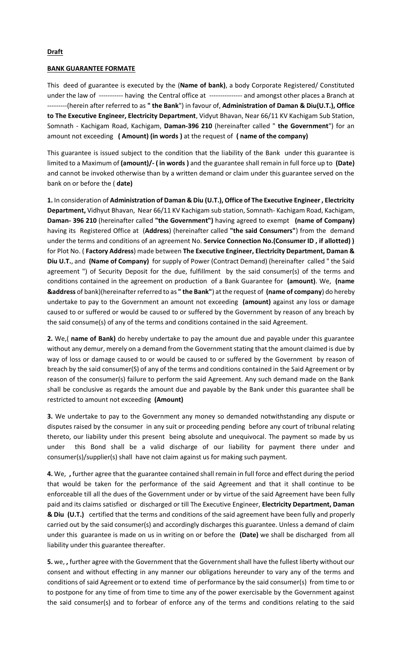## **Draft**

## **BANK GUARANTEE FORMATE**

This deed of guarantee is executed by the (**Name of bank)**, a body Corporate Registered/ Constituted under the law of ----------- having the Central office at --------------- and amongst other places a Branch at ---------(herein after referred to as **" the Bank**") in favour of, **Administration of Daman & Diu(U.T.), Office to The Executive Engineer, Electricity Department**, Vidyut Bhavan, Near 66/11 KV Kachigam Sub Station, Somnath - Kachigam Road, Kachigam, **Daman-396 210** (hereinafter called " **the Government**") for an amount not exceeding **( Amount) (in words )** at the request of **( name of the company)**

This guarantee is issued subject to the condition that the liability of the Bank under this guarantee is limited to a Maximum of **(amount)/- ( in words )** and the guarantee shall remain in full force up to **(Date)**  and cannot be invoked otherwise than by a written demand or claim under this guarantee served on the bank on or before the ( **date)**

**1.** In consideration of **Administration of Daman & Diu (U.T.), Office of The Executive Engineer , Electricity Department,** Vidhyut Bhavan, Near 66/11 KV Kachigam sub station, Somnath- Kachigam Road, Kachigam, **Daman- 396 210** (hereinafter called **"the Government")** having agreed to exempt **(name of Company)** having its Registered Office at (**Address**) (hereinafter called **"the said Consumers"**) from the demand under the terms and conditions of an agreement No. **Service Connection No.(Consumer ID , if allotted) )** for Plot No. ( **Factory Address**) made between **The Executive Engineer, Electricity Department, Daman & Diu U.T.**, and **(Name of Company)** for supply of Power (Contract Demand) (hereinafter called " the Said agreement ") of Security Deposit for the due, fulfillment by the said consumer(s) of the terms and conditions contained in the agreement on production of a Bank Guarantee for **(amount)**. We, **(name &address** of bank)(hereinafter referred to as **" the Bank"**) at the request of **(name of company**) do hereby undertake to pay to the Government an amount not exceeding **(amount)** against any loss or damage caused to or suffered or would be caused to or suffered by the Government by reason of any breach by the said consume(s) of any of the terms and conditions contained in the said Agreement.

**2.** We,( **name of Bank)** do hereby undertake to pay the amount due and payable under this guarantee without any demur, merely on a demand from the Government stating that the amount claimed is due by way of loss or damage caused to or would be caused to or suffered by the Government by reason of breach by the said consumer(S) of any of the terms and conditions contained in the Said Agreement or by reason of the consumer(s) failure to perform the said Agreement. Any such demand made on the Bank shall be conclusive as regards the amount due and payable by the Bank under this guarantee shall be restricted to amount not exceeding **(Amount)**

**3.** We undertake to pay to the Government any money so demanded notwithstanding any dispute or disputes raised by the consumer in any suit or proceeding pending before any court of tribunal relating thereto, our liability under this present being absolute and unequivocal. The payment so made by us under this Bond shall be a valid discharge of our liability for payment there under and consumer(s)/supplier(s) shall have not claim against us for making such payment.

**4.** We, **,** further agree that the guarantee contained shall remain in full force and effect during the period that would be taken for the performance of the said Agreement and that it shall continue to be enforceable till all the dues of the Government under or by virtue of the said Agreement have been fully paid and its claims satisfied or discharged or till The Executive Engineer, **Electricity Department, Daman & Diu (U.T.)** certified that the terms and conditions of the said agreement have been fully and properly carried out by the said consumer(s) and accordingly discharges this guarantee. Unless a demand of claim under this guarantee is made on us in writing on or before the **(Date)** we shall be discharged from all liability under this guarantee thereafter.

**5.** we, **,** further agree with the Government that the Government shall have the fullest liberty without our consent and without effecting in any manner our obligations hereunder to vary any of the terms and conditions of said Agreement or to extend time of performance by the said consumer(s) from time to or to postpone for any time of from time to time any of the power exercisable by the Government against the said consumer(s) and to forbear of enforce any of the terms and conditions relating to the said